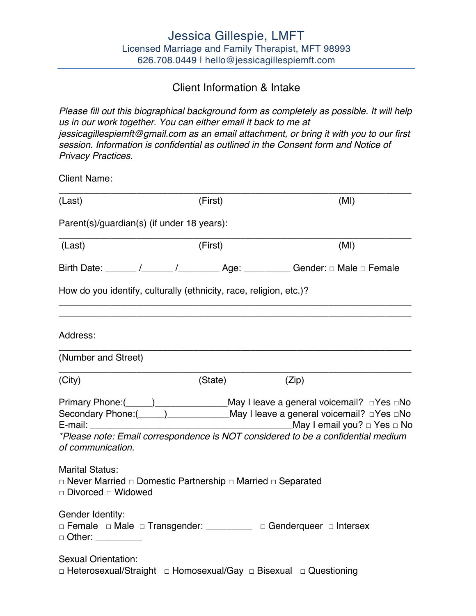# Client Information & Intake

*Please fill out this biographical background form as completely as possible. It will help us in our work together. You can either email it back to me at jessicagillespiemft@gmail.com as an email attachment, or bring it with you to our first session. Information is confidential as outlined in the Consent form and Notice of Privacy Practices.* 

Client Name:

| (Last)                                                                                                                                       | (First) | (MI)                                                                                                                                                                                                                                                                                        |
|----------------------------------------------------------------------------------------------------------------------------------------------|---------|---------------------------------------------------------------------------------------------------------------------------------------------------------------------------------------------------------------------------------------------------------------------------------------------|
| Parent(s)/guardian(s) (if under 18 years):                                                                                                   |         |                                                                                                                                                                                                                                                                                             |
| (Last)                                                                                                                                       | (First) | (MI)                                                                                                                                                                                                                                                                                        |
|                                                                                                                                              |         | Birth Date: ______ /______ /_____________ Age: ___________ Gender: □ Male □ Female                                                                                                                                                                                                          |
| How do you identify, culturally (ethnicity, race, religion, etc.)?                                                                           |         |                                                                                                                                                                                                                                                                                             |
| Address:                                                                                                                                     |         |                                                                                                                                                                                                                                                                                             |
| (Number and Street)                                                                                                                          |         |                                                                                                                                                                                                                                                                                             |
| (City)                                                                                                                                       | (State) | (Zip)                                                                                                                                                                                                                                                                                       |
| of communication.                                                                                                                            |         | Primary Phone:(_____)______________________May I leave a general voicemail? □Yes □No<br>Secondary Phone:(_____)________________May I leave a general voicemail? □Yes □No<br>May I email you? □ Yes □ No<br>*Please note: Email correspondence is NOT considered to be a confidential medium |
| <b>Marital Status:</b><br>$\Box$ Never Married $\Box$ Domestic Partnership $\Box$ Married $\Box$ Separated<br>$\Box$ Divorced $\Box$ Widowed |         |                                                                                                                                                                                                                                                                                             |
| Gender Identity:<br>□ Female □ Male □ Transgender: _________ □ Genderqueer □ Intersex<br>$\Box$ Other:                                       |         |                                                                                                                                                                                                                                                                                             |
| <b>Sexual Orientation:</b><br>□ Heterosexual/Straight □ Homosexual/Gay □ Bisexual □ Questioning                                              |         |                                                                                                                                                                                                                                                                                             |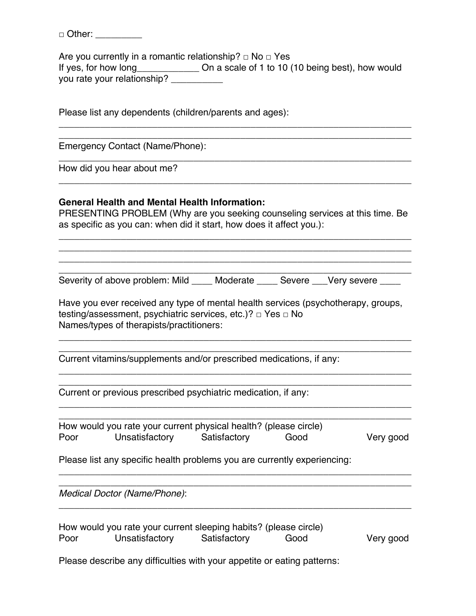□ Other: \_\_\_\_\_\_\_\_\_\_

Are you currently in a romantic relationship?  $\Box$  No  $\Box$  Yes If yes, for how long Don a scale of 1 to 10 (10 being best), how would you rate your relationship?

\_\_\_\_\_\_\_\_\_\_\_\_\_\_\_\_\_\_\_\_\_\_\_\_\_\_\_\_\_\_\_\_\_\_\_\_\_\_\_\_\_\_\_\_\_\_\_\_\_\_\_\_\_\_\_\_\_\_\_\_\_\_\_\_\_\_\_\_ \_\_\_\_\_\_\_\_\_\_\_\_\_\_\_\_\_\_\_\_\_\_\_\_\_\_\_\_\_\_\_\_\_\_\_\_\_\_\_\_\_\_\_\_\_\_\_\_\_\_\_\_\_\_\_\_\_\_\_\_\_\_\_\_\_\_\_\_

\_\_\_\_\_\_\_\_\_\_\_\_\_\_\_\_\_\_\_\_\_\_\_\_\_\_\_\_\_\_\_\_\_\_\_\_\_\_\_\_\_\_\_\_\_\_\_\_\_\_\_\_\_\_\_\_\_\_\_\_\_\_\_\_\_\_\_\_

\_\_\_\_\_\_\_\_\_\_\_\_\_\_\_\_\_\_\_\_\_\_\_\_\_\_\_\_\_\_\_\_\_\_\_\_\_\_\_\_\_\_\_\_\_\_\_\_\_\_\_\_\_\_\_\_\_\_\_\_\_\_\_\_\_\_\_\_

Please list any dependents (children/parents and ages):

Emergency Contact (Name/Phone):

How did you hear about me?

#### **General Health and Mental Health Information:**

PRESENTING PROBLEM (Why are you seeking counseling services at this time. Be as specific as you can: when did it start, how does it affect you.):

\_\_\_\_\_\_\_\_\_\_\_\_\_\_\_\_\_\_\_\_\_\_\_\_\_\_\_\_\_\_\_\_\_\_\_\_\_\_\_\_\_\_\_\_\_\_\_\_\_\_\_\_\_\_\_\_\_\_\_\_\_\_\_\_\_\_\_\_ \_\_\_\_\_\_\_\_\_\_\_\_\_\_\_\_\_\_\_\_\_\_\_\_\_\_\_\_\_\_\_\_\_\_\_\_\_\_\_\_\_\_\_\_\_\_\_\_\_\_\_\_\_\_\_\_\_\_\_\_\_\_\_\_\_\_\_\_ \_\_\_\_\_\_\_\_\_\_\_\_\_\_\_\_\_\_\_\_\_\_\_\_\_\_\_\_\_\_\_\_\_\_\_\_\_\_\_\_\_\_\_\_\_\_\_\_\_\_\_\_\_\_\_\_\_\_\_\_\_\_\_\_\_\_\_\_

\_\_\_\_\_\_\_\_\_\_\_\_\_\_\_\_\_\_\_\_\_\_\_\_\_\_\_\_\_\_\_\_\_\_\_\_\_\_\_\_\_\_\_\_\_\_\_\_\_\_\_\_\_\_\_\_\_\_\_\_\_\_\_\_\_\_\_\_ Severity of above problem: Mild \_\_\_\_ Moderate \_\_\_\_ Severe \_\_\_Very severe \_\_\_\_

Have you ever received any type of mental health services (psychotherapy, groups, testing/assessment, psychiatric services, etc.)? □ Yes □ No Names/types of therapists/practitioners:

\_\_\_\_\_\_\_\_\_\_\_\_\_\_\_\_\_\_\_\_\_\_\_\_\_\_\_\_\_\_\_\_\_\_\_\_\_\_\_\_\_\_\_\_\_\_\_\_\_\_\_\_\_\_\_\_\_\_\_\_\_\_\_\_\_\_\_\_ \_\_\_\_\_\_\_\_\_\_\_\_\_\_\_\_\_\_\_\_\_\_\_\_\_\_\_\_\_\_\_\_\_\_\_\_\_\_\_\_\_\_\_\_\_\_\_\_\_\_\_\_\_\_\_\_\_\_\_\_\_\_\_\_\_\_\_\_

\_\_\_\_\_\_\_\_\_\_\_\_\_\_\_\_\_\_\_\_\_\_\_\_\_\_\_\_\_\_\_\_\_\_\_\_\_\_\_\_\_\_\_\_\_\_\_\_\_\_\_\_\_\_\_\_\_\_\_\_\_\_\_\_\_\_\_\_ \_\_\_\_\_\_\_\_\_\_\_\_\_\_\_\_\_\_\_\_\_\_\_\_\_\_\_\_\_\_\_\_\_\_\_\_\_\_\_\_\_\_\_\_\_\_\_\_\_\_\_\_\_\_\_\_\_\_\_\_\_\_\_\_\_\_\_\_

Current vitamins/supplements and/or prescribed medications, if any:

Current or previous prescribed psychiatric medication, if any:

\_\_\_\_\_\_\_\_\_\_\_\_\_\_\_\_\_\_\_\_\_\_\_\_\_\_\_\_\_\_\_\_\_\_\_\_\_\_\_\_\_\_\_\_\_\_\_\_\_\_\_\_\_\_\_\_\_\_\_\_\_\_\_\_\_\_\_\_ How would you rate your current physical health? (please circle) Poor Unsatisfactory Satisfactory Good Very good

\_\_\_\_\_\_\_\_\_\_\_\_\_\_\_\_\_\_\_\_\_\_\_\_\_\_\_\_\_\_\_\_\_\_\_\_\_\_\_\_\_\_\_\_\_\_\_\_\_\_\_\_\_\_\_\_\_\_\_\_\_\_\_\_\_\_\_\_

Please list any specific health problems you are currently experiencing:

*Medical Doctor (Name/Phone)*:

|      | How would you rate your current sleeping habits? (please circle) |              |      |           |
|------|------------------------------------------------------------------|--------------|------|-----------|
| Poor | Unsatisfactory                                                   | Satisfactory | Good | Very good |

\_\_\_\_\_\_\_\_\_\_\_\_\_\_\_\_\_\_\_\_\_\_\_\_\_\_\_\_\_\_\_\_\_\_\_\_\_\_\_\_\_\_\_\_\_\_\_\_\_\_\_\_\_\_\_\_\_\_\_\_\_\_\_\_\_\_\_\_

\_\_\_\_\_\_\_\_\_\_\_\_\_\_\_\_\_\_\_\_\_\_\_\_\_\_\_\_\_\_\_\_\_\_\_\_\_\_\_\_\_\_\_\_\_\_\_\_\_\_\_\_\_\_\_\_\_\_\_\_\_\_\_\_\_\_\_\_

Please describe any difficulties with your appetite or eating patterns: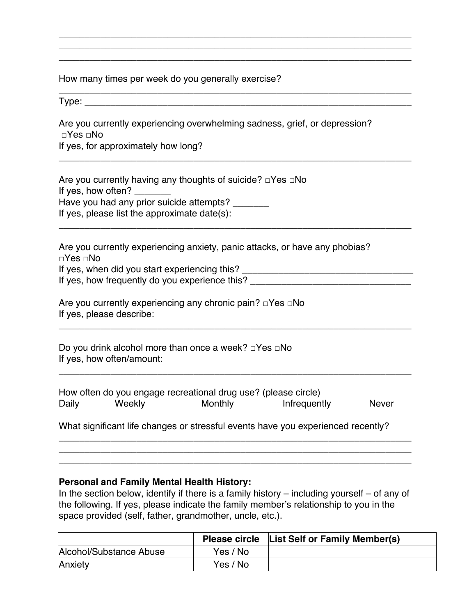How many times per week do you generally exercise?

 $Type:$ 

Are you currently experiencing overwhelming sadness, grief, or depression? □Yes □No

\_\_\_\_\_\_\_\_\_\_\_\_\_\_\_\_\_\_\_\_\_\_\_\_\_\_\_\_\_\_\_\_\_\_\_\_\_\_\_\_\_\_\_\_\_\_\_\_\_\_\_\_\_\_\_\_\_\_\_\_\_\_\_\_\_\_\_\_ \_\_\_\_\_\_\_\_\_\_\_\_\_\_\_\_\_\_\_\_\_\_\_\_\_\_\_\_\_\_\_\_\_\_\_\_\_\_\_\_\_\_\_\_\_\_\_\_\_\_\_\_\_\_\_\_\_\_\_\_\_\_\_\_\_\_\_\_ \_\_\_\_\_\_\_\_\_\_\_\_\_\_\_\_\_\_\_\_\_\_\_\_\_\_\_\_\_\_\_\_\_\_\_\_\_\_\_\_\_\_\_\_\_\_\_\_\_\_\_\_\_\_\_\_\_\_\_\_\_\_\_\_\_\_\_\_

\_\_\_\_\_\_\_\_\_\_\_\_\_\_\_\_\_\_\_\_\_\_\_\_\_\_\_\_\_\_\_\_\_\_\_\_\_\_\_\_\_\_\_\_\_\_\_\_\_\_\_\_\_\_\_\_\_\_\_\_\_\_\_\_\_\_\_\_

\_\_\_\_\_\_\_\_\_\_\_\_\_\_\_\_\_\_\_\_\_\_\_\_\_\_\_\_\_\_\_\_\_\_\_\_\_\_\_\_\_\_\_\_\_\_\_\_\_\_\_\_\_\_\_\_\_\_\_\_\_\_\_\_\_\_\_\_

\_\_\_\_\_\_\_\_\_\_\_\_\_\_\_\_\_\_\_\_\_\_\_\_\_\_\_\_\_\_\_\_\_\_\_\_\_\_\_\_\_\_\_\_\_\_\_\_\_\_\_\_\_\_\_\_\_\_\_\_\_\_\_\_\_\_\_\_

\_\_\_\_\_\_\_\_\_\_\_\_\_\_\_\_\_\_\_\_\_\_\_\_\_\_\_\_\_\_\_\_\_\_\_\_\_\_\_\_\_\_\_\_\_\_\_\_\_\_\_\_\_\_\_\_\_\_\_\_\_\_\_\_\_\_\_\_

\_\_\_\_\_\_\_\_\_\_\_\_\_\_\_\_\_\_\_\_\_\_\_\_\_\_\_\_\_\_\_\_\_\_\_\_\_\_\_\_\_\_\_\_\_\_\_\_\_\_\_\_\_\_\_\_\_\_\_\_\_\_\_\_\_\_\_\_

If yes, for approximately how long?

Are you currently having any thoughts of suicide? □Yes □No If yes, how often? Have you had any prior suicide attempts? If yes, please list the approximate date(s):

Are you currently experiencing anxiety, panic attacks, or have any phobias? □Yes □No If yes, when did you start experiencing this? \_\_\_\_\_\_\_\_\_\_\_\_\_\_\_\_\_\_\_\_\_\_\_\_\_\_\_\_\_\_\_\_\_\_

|  | If yes, how frequently do you experience this? |  |
|--|------------------------------------------------|--|
|  |                                                |  |

| Are you currently experiencing any chronic pain? $\Box$ Yes $\Box$ No |  |
|-----------------------------------------------------------------------|--|
| If yes, please describe:                                              |  |

Do you drink alcohol more than once a week? □Yes □No If yes, how often/amount:

| How often do you engage recreational drug use? (please circle) |        |         |              |              |
|----------------------------------------------------------------|--------|---------|--------------|--------------|
| Daily                                                          | Weekly | Monthly | Infrequently | <b>Never</b> |

What significant life changes or stressful events have you experienced recently?

\_\_\_\_\_\_\_\_\_\_\_\_\_\_\_\_\_\_\_\_\_\_\_\_\_\_\_\_\_\_\_\_\_\_\_\_\_\_\_\_\_\_\_\_\_\_\_\_\_\_\_\_\_\_\_\_\_\_\_\_\_\_\_\_\_\_\_\_ \_\_\_\_\_\_\_\_\_\_\_\_\_\_\_\_\_\_\_\_\_\_\_\_\_\_\_\_\_\_\_\_\_\_\_\_\_\_\_\_\_\_\_\_\_\_\_\_\_\_\_\_\_\_\_\_\_\_\_\_\_\_\_\_\_\_\_\_ \_\_\_\_\_\_\_\_\_\_\_\_\_\_\_\_\_\_\_\_\_\_\_\_\_\_\_\_\_\_\_\_\_\_\_\_\_\_\_\_\_\_\_\_\_\_\_\_\_\_\_\_\_\_\_\_\_\_\_\_\_\_\_\_\_\_\_\_

#### **Personal and Family Mental Health History:**

In the section below, identify if there is a family history  $-$  including yourself  $-$  of any of the following. If yes, please indicate the family member's relationship to you in the space provided (self, father, grandmother, uncle, etc.).

|                         |          | Please circle List Self or Family Member(s) |
|-------------------------|----------|---------------------------------------------|
| Alcohol/Substance Abuse | Yes / No |                                             |
| Anxiety                 | Yes / No |                                             |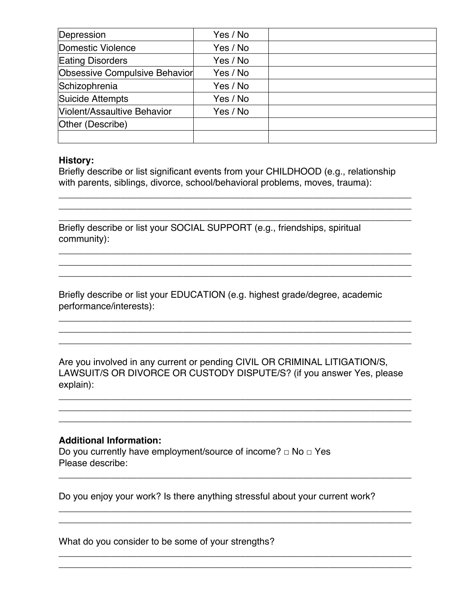| Depression                    | Yes / No |  |
|-------------------------------|----------|--|
| Domestic Violence             | Yes / No |  |
| <b>Eating Disorders</b>       | Yes / No |  |
| Obsessive Compulsive Behavior | Yes / No |  |
| Schizophrenia                 | Yes / No |  |
| Suicide Attempts              | Yes / No |  |
| Violent/Assaultive Behavior   | Yes / No |  |
| Other (Describe)              |          |  |
|                               |          |  |

### **History:**

Briefly describe or list significant events from your CHILDHOOD (e.g., relationship with parents, siblings, divorce, school/behavioral problems, moves, trauma):

\_\_\_\_\_\_\_\_\_\_\_\_\_\_\_\_\_\_\_\_\_\_\_\_\_\_\_\_\_\_\_\_\_\_\_\_\_\_\_\_\_\_\_\_\_\_\_\_\_\_\_\_\_\_\_\_\_\_\_\_\_\_\_\_\_\_\_\_ \_\_\_\_\_\_\_\_\_\_\_\_\_\_\_\_\_\_\_\_\_\_\_\_\_\_\_\_\_\_\_\_\_\_\_\_\_\_\_\_\_\_\_\_\_\_\_\_\_\_\_\_\_\_\_\_\_\_\_\_\_\_\_\_\_\_\_\_ \_\_\_\_\_\_\_\_\_\_\_\_\_\_\_\_\_\_\_\_\_\_\_\_\_\_\_\_\_\_\_\_\_\_\_\_\_\_\_\_\_\_\_\_\_\_\_\_\_\_\_\_\_\_\_\_\_\_\_\_\_\_\_\_\_\_\_\_

\_\_\_\_\_\_\_\_\_\_\_\_\_\_\_\_\_\_\_\_\_\_\_\_\_\_\_\_\_\_\_\_\_\_\_\_\_\_\_\_\_\_\_\_\_\_\_\_\_\_\_\_\_\_\_\_\_\_\_\_\_\_\_\_\_\_\_\_ \_\_\_\_\_\_\_\_\_\_\_\_\_\_\_\_\_\_\_\_\_\_\_\_\_\_\_\_\_\_\_\_\_\_\_\_\_\_\_\_\_\_\_\_\_\_\_\_\_\_\_\_\_\_\_\_\_\_\_\_\_\_\_\_\_\_\_\_ \_\_\_\_\_\_\_\_\_\_\_\_\_\_\_\_\_\_\_\_\_\_\_\_\_\_\_\_\_\_\_\_\_\_\_\_\_\_\_\_\_\_\_\_\_\_\_\_\_\_\_\_\_\_\_\_\_\_\_\_\_\_\_\_\_\_\_\_

\_\_\_\_\_\_\_\_\_\_\_\_\_\_\_\_\_\_\_\_\_\_\_\_\_\_\_\_\_\_\_\_\_\_\_\_\_\_\_\_\_\_\_\_\_\_\_\_\_\_\_\_\_\_\_\_\_\_\_\_\_\_\_\_\_\_\_\_ \_\_\_\_\_\_\_\_\_\_\_\_\_\_\_\_\_\_\_\_\_\_\_\_\_\_\_\_\_\_\_\_\_\_\_\_\_\_\_\_\_\_\_\_\_\_\_\_\_\_\_\_\_\_\_\_\_\_\_\_\_\_\_\_\_\_\_\_ \_\_\_\_\_\_\_\_\_\_\_\_\_\_\_\_\_\_\_\_\_\_\_\_\_\_\_\_\_\_\_\_\_\_\_\_\_\_\_\_\_\_\_\_\_\_\_\_\_\_\_\_\_\_\_\_\_\_\_\_\_\_\_\_\_\_\_\_

Briefly describe or list your SOCIAL SUPPORT (e.g., friendships, spiritual community):

Briefly describe or list your EDUCATION (e.g. highest grade/degree, academic performance/interests):

Are you involved in any current or pending CIVIL OR CRIMINAL LITIGATION/S, LAWSUIT/S OR DIVORCE OR CUSTODY DISPUTE/S? (if you answer Yes, please explain):

\_\_\_\_\_\_\_\_\_\_\_\_\_\_\_\_\_\_\_\_\_\_\_\_\_\_\_\_\_\_\_\_\_\_\_\_\_\_\_\_\_\_\_\_\_\_\_\_\_\_\_\_\_\_\_\_\_\_\_\_\_\_\_\_\_\_\_\_ \_\_\_\_\_\_\_\_\_\_\_\_\_\_\_\_\_\_\_\_\_\_\_\_\_\_\_\_\_\_\_\_\_\_\_\_\_\_\_\_\_\_\_\_\_\_\_\_\_\_\_\_\_\_\_\_\_\_\_\_\_\_\_\_\_\_\_\_ \_\_\_\_\_\_\_\_\_\_\_\_\_\_\_\_\_\_\_\_\_\_\_\_\_\_\_\_\_\_\_\_\_\_\_\_\_\_\_\_\_\_\_\_\_\_\_\_\_\_\_\_\_\_\_\_\_\_\_\_\_\_\_\_\_\_\_\_

\_\_\_\_\_\_\_\_\_\_\_\_\_\_\_\_\_\_\_\_\_\_\_\_\_\_\_\_\_\_\_\_\_\_\_\_\_\_\_\_\_\_\_\_\_\_\_\_\_\_\_\_\_\_\_\_\_\_\_\_\_\_\_\_\_\_\_\_

\_\_\_\_\_\_\_\_\_\_\_\_\_\_\_\_\_\_\_\_\_\_\_\_\_\_\_\_\_\_\_\_\_\_\_\_\_\_\_\_\_\_\_\_\_\_\_\_\_\_\_\_\_\_\_\_\_\_\_\_\_\_\_\_\_\_\_\_ \_\_\_\_\_\_\_\_\_\_\_\_\_\_\_\_\_\_\_\_\_\_\_\_\_\_\_\_\_\_\_\_\_\_\_\_\_\_\_\_\_\_\_\_\_\_\_\_\_\_\_\_\_\_\_\_\_\_\_\_\_\_\_\_\_\_\_\_

\_\_\_\_\_\_\_\_\_\_\_\_\_\_\_\_\_\_\_\_\_\_\_\_\_\_\_\_\_\_\_\_\_\_\_\_\_\_\_\_\_\_\_\_\_\_\_\_\_\_\_\_\_\_\_\_\_\_\_\_\_\_\_\_\_\_\_\_ \_\_\_\_\_\_\_\_\_\_\_\_\_\_\_\_\_\_\_\_\_\_\_\_\_\_\_\_\_\_\_\_\_\_\_\_\_\_\_\_\_\_\_\_\_\_\_\_\_\_\_\_\_\_\_\_\_\_\_\_\_\_\_\_\_\_\_\_

## **Additional Information:**

Do you currently have employment/source of income?  $\Box$  No  $\Box$  Yes Please describe:

Do you enjoy your work? Is there anything stressful about your current work?

What do you consider to be some of your strengths?